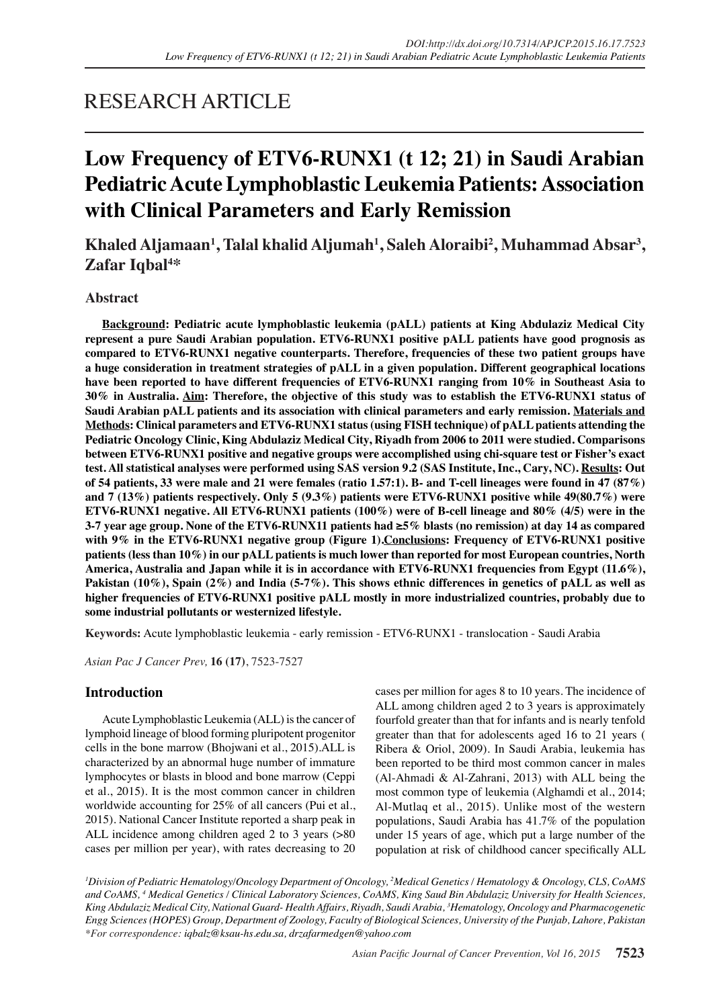## RESEARCH ARTICLE

# **Low Frequency of ETV6-RUNX1 (t 12; 21) in Saudi Arabian Pediatric Acute Lymphoblastic Leukemia Patients: Association with Clinical Parameters and Early Remission**

**Khaled Aljamaan1 , Talal khalid Aljumah1 , Saleh Aloraibi2 , Muhammad Absar3 , Zafar Iqbal4 \***

## **Abstract**

**Background: Pediatric acute lymphoblastic leukemia (pALL) patients at King Abdulaziz Medical City represent a pure Saudi Arabian population. ETV6-RUNX1 positive pALL patients have good prognosis as compared to ETV6-RUNX1 negative counterparts. Therefore, frequencies of these two patient groups have a huge consideration in treatment strategies of pALL in a given population. Different geographical locations have been reported to have different frequencies of ETV6-RUNX1 ranging from 10% in Southeast Asia to 30% in Australia. Aim: Therefore, the objective of this study was to establish the ETV6-RUNX1 status of Saudi Arabian pALL patients and its association with clinical parameters and early remission. Materials and Methods: Clinical parameters and ETV6-RUNX1 status (using FISH technique) of pALL patients attending the Pediatric Oncology Clinic, King Abdulaziz Medical City, Riyadh from 2006 to 2011 were studied. Comparisons between ETV6-RUNX1 positive and negative groups were accomplished using chi-square test or Fisher's exact test. All statistical analyses were performed using SAS version 9.2 (SAS Institute, Inc., Cary, NC). Results: Out of 54 patients, 33 were male and 21 were females (ratio 1.57:1). B- and T-cell lineages were found in 47 (87%) and 7 (13%) patients respectively. Only 5 (9.3%) patients were ETV6-RUNX1 positive while 49(80.7%) were ETV6-RUNX1 negative. All ETV6-RUNX1 patients (100%) were of B-cell lineage and 80% (4/5) were in the 3-7 year age group. None of the ETV6-RUNX11 patients had ≥5% blasts (no remission) at day 14 as compared with 9% in the ETV6-RUNX1 negative group (Figure 1).Conclusions: Frequency of ETV6-RUNX1 positive patients (less than 10%) in our pALL patients is much lower than reported for most European countries, North America, Australia and Japan while it is in accordance with ETV6-RUNX1 frequencies from Egypt (11.6%), Pakistan (10%), Spain (2%) and India (5-7%). This shows ethnic differences in genetics of pALL as well as higher frequencies of ETV6-RUNX1 positive pALL mostly in more industrialized countries, probably due to some industrial pollutants or westernized lifestyle.**

**Keywords:** Acute lymphoblastic leukemia - early remission - ETV6-RUNX1 - translocation - Saudi Arabia

*Asian Pac J Cancer Prev,* **16 (17)**, 7523-7527

### **Introduction**

Acute Lymphoblastic Leukemia (ALL) is the cancer of lymphoid lineage of blood forming pluripotent progenitor cells in the bone marrow (Bhojwani et al., 2015).ALL is characterized by an abnormal huge number of immature lymphocytes or blasts in blood and bone marrow (Ceppi et al., 2015). It is the most common cancer in children worldwide accounting for 25% of all cancers (Pui et al., 2015). National Cancer Institute reported a sharp peak in ALL incidence among children aged 2 to 3 years (>80 cases per million per year), with rates decreasing to 20

cases per million for ages 8 to 10 years. The incidence of ALL among children aged 2 to 3 years is approximately fourfold greater than that for infants and is nearly tenfold greater than that for adolescents aged 16 to 21 years ( Ribera & Oriol, 2009). In Saudi Arabia, leukemia has been reported to be third most common cancer in males (Al-Ahmadi & Al-Zahrani, 2013) with ALL being the most common type of leukemia (Alghamdi et al., 2014; Al-Mutlaq et al., 2015). Unlike most of the western populations, Saudi Arabia has 41.7% of the population under 15 years of age, which put a large number of the population at risk of childhood cancer specifically ALL

*1 Division of Pediatric Hematology/Oncology Department of Oncology, 2 Medical Genetics / Hematology & Oncology, CLS, CoAMS and CoAMS, 4 Medical Genetics / Clinical Laboratory Sciences, CoAMS, King Saud Bin Abdulaziz University for Health Sciences, King Abdulaziz Medical City, National Guard- Health Affairs, Riyadh, Saudi Arabia, 3 Hematology, Oncology and Pharmacogenetic Engg Sciences (HOPES) Group, Department of Zoology, Faculty of Biological Sciences, University of the Punjab, Lahore, Pakistan \*For correspondence: iqbalz@ksau-hs.edu.sa, drzafarmedgen@yahoo.com*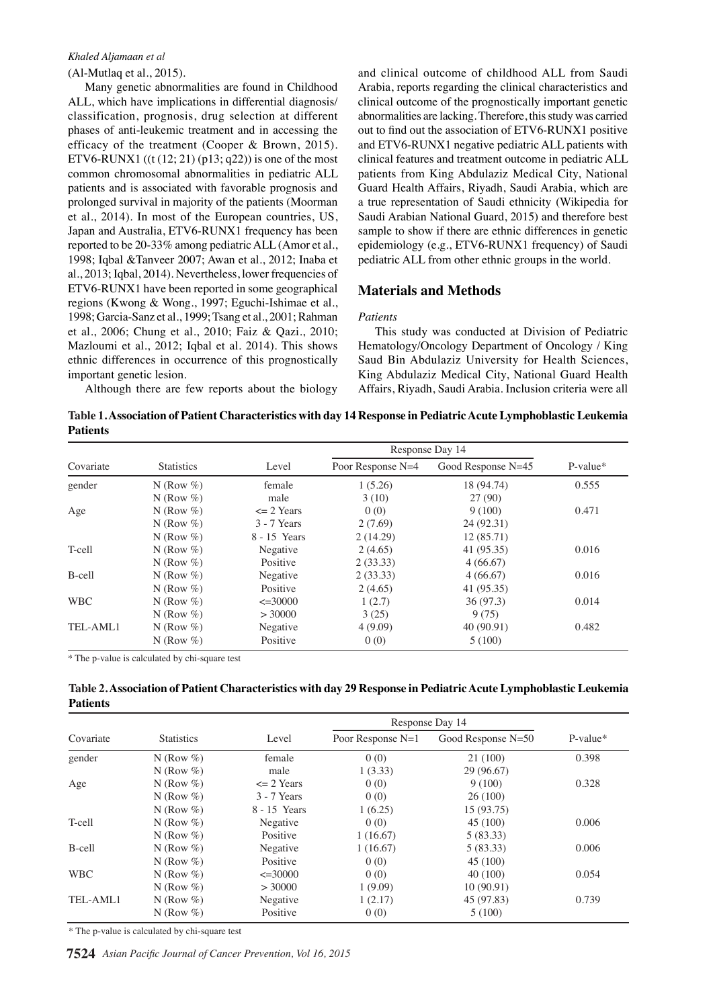#### *Khaled Aljamaan et al*

(Al-Mutlaq et al., 2015).

Many genetic abnormalities are found in Childhood ALL, which have implications in differential diagnosis/ classification, prognosis, drug selection at different phases of anti-leukemic treatment and in accessing the efficacy of the treatment (Cooper & Brown, 2015). ETV6-RUNX1  $((t (12; 21) (p13; q22))$  is one of the most common chromosomal abnormalities in pediatric ALL patients and is associated with favorable prognosis and prolonged survival in majority of the patients (Moorman et al., 2014). In most of the European countries, US, Japan and Australia, ETV6-RUNX1 frequency has been reported to be 20-33% among pediatric ALL (Amor et al., 1998; Iqbal &Tanveer 2007; Awan et al., 2012; Inaba et al., 2013; Iqbal, 2014). Nevertheless, lower frequencies of ETV6-RUNX1 have been reported in some geographical regions (Kwong & Wong., 1997; Eguchi-Ishimae et al., 1998; Garcia-Sanz et al., 1999; Tsang et al., 2001; Rahman et al., 2006; Chung et al., 2010; Faiz & Qazi., 2010; Mazloumi et al., 2012; Iqbal et al. 2014). This shows ethnic differences in occurrence of this prognostically important genetic lesion.

and clinical outcome of childhood ALL from Saudi Arabia, reports regarding the clinical characteristics and clinical outcome of the prognostically important genetic abnormalities are lacking. Therefore, this study was carried out to find out the association of ETV6-RUNX1 positive and ETV6-RUNX1 negative pediatric ALL patients with clinical features and treatment outcome in pediatric ALL patients from King Abdulaziz Medical City, National Guard Health Affairs, Riyadh, Saudi Arabia, which are a true representation of Saudi ethnicity (Wikipedia for Saudi Arabian National Guard, 2015) and therefore best sample to show if there are ethnic differences in genetic epidemiology (e.g., ETV6-RUNX1 frequency) of Saudi pediatric ALL from other ethnic groups in the world.

#### **Materials and Methods**

#### *Patients*

This study was conducted at Division of Pediatric Hematology/Oncology Department of Oncology / King Saud Bin Abdulaziz University for Health Sciences, King Abdulaziz Medical City, National Guard Health Affairs, Riyadh, Saudi Arabia. Inclusion criteria were all

Although there are few reports about the biology

**Table 1. Association of Patient Characteristics with day 14 Response in Pediatric Acute Lymphoblastic Leukemia Patients**

|                 |                                                                   |                                               | Response Day 14                                  |                                                                 |                    |      |              |
|-----------------|-------------------------------------------------------------------|-----------------------------------------------|--------------------------------------------------|-----------------------------------------------------------------|--------------------|------|--------------|
| Covariate       | <b>Statistics</b>                                                 | Level                                         | Poor Response N=4                                | Good Response N=45                                              | P-value*           |      |              |
| gender          | N (Row $%$ )                                                      | female                                        | 1(5.26)                                          | 18 (94.74)                                                      | 0.555              |      |              |
| Age             | N (Row $%$ )<br>N (Row $%$ )<br>N (Row $%$ )                      | male<br>$\epsilon$ 2 Years<br>3 - 7 Years     | 3(10)<br>0(0)<br>2(7.69)                         | 27(90)<br>9(100)<br>24 (92.31)                                  | 0.471              |      |              |
| T-cell          | N (Row $%$ )<br>N (Row $%$ )<br>N (Row $%$ )                      | 8 - 15 Years<br>Negative<br>Positive          | 2(14.29)<br>2(4.65)<br>100. $\theta$ (33.33)     | 12(85.71)<br>41 (95.35)                                         | 0.016              |      |              |
| B-cell          | N (Row $%$ )<br>N (Row $%$ )                                      | Negative<br>Positive                          | $2(33.33)$ 6.3<br>2(4.65)                        | 4(66,67)<br>10.1 <sup>4</sup> (66.67)<br>$(95.39)$ <sup>3</sup> | 0.016              |      | 12.8         |
| <b>WBC</b>      | N (Row $%$ )<br>N (Row $%$ )                                      | $\leq 30000$<br>> 30000                       | 1(2.7)<br>75.0 $3(25)$                           | 36(97.3)<br>9(75)                                               | 0.014<br>25.0      | 30.0 |              |
| TEL-AML1        | N (Row $%$ )<br>N (Row $%$ )                                      | Negative<br>Positive                          | 4(9.09)<br>0(0)<br>56.3                          | 40 (90.91)<br>46.8 $\frac{1}{5}$ (100)                          | 0.482              |      | 51.1         |
|                 | * The p-value is calculated by chi-square test                    |                                               | 50.0                                             | 54.2                                                            | 31.3               | 30.0 |              |
|                 | Table 2. Association of Patient Characteristics with day 29 Respo |                                               |                                                  | Ped<br> ph <br>Ncu∣                                             | c Leukemia         |      |              |
| <b>Patients</b> |                                                                   |                                               | 25.0                                             |                                                                 |                    |      |              |
| Covariate       | <b>Statistics</b>                                                 | Level                                         | 31.3<br>Poor Respons                             | 38.0<br>$\lvert$ se I<br>23.7<br>-50<br>esp                     | 31.3<br>P-value*   | 30.0 | 33.1         |
| gender          | N (Row $%$ )<br>N (Row $%$ )                                      | female<br>male                                | 00(0)<br>1(3.33)                                 | $21$ (1001<br>29 (96.67)                                        | 0.398              |      |              |
| Age             | N (Row $%$ )<br>N (Row $%$ )<br>N (Row $%$ )                      | $\leq$ 2 Years<br>3 - 7 Years<br>8 - 15 Years | treatment<br>0(0)<br>0(0)                        | treatment<br>$9(100)$ ରି<br>26(100)<br>$15(93.7\frac{15}{12})$  | Remission<br>0.328 | None | Chemotherapy |
| T-cell          | N (Row $%$ )<br>N (Row $%$ )                                      | Negative<br>Positive                          | 1(6.25)<br>diagnosed without<br>0(0)<br>1(16.67) | with<br>$45(100)$ රි<br>5(83.33)                                | 0.006              |      |              |
| B-cell          | N (Row $%$ )<br>N (Row $%$ )                                      | Negative<br>Positive                          | 1(16.67)<br>0(0)                                 | diagnosed<br>5(83.33)<br>$45(100)$ $\frac{3}{2}$                | 0.006              |      |              |
|                 |                                                                   |                                               |                                                  |                                                                 |                    |      |              |
| <b>WBC</b>      | N (Row $%$ )<br>N (Row $%$ )                                      | $\leq 30000$<br>> 30000                       | 0(0)<br>1(9.09)                                  | 40(100)<br>$\sum_{9}^{8} 10(90.91)$<br>$\sum_{9}^{8} 45(97.83)$ | 0.054              |      |              |

\* The p-value is calculated by chi-square test

**7524** *Asian Pacific Journal of Cancer Prevention, Vol 16, 2015*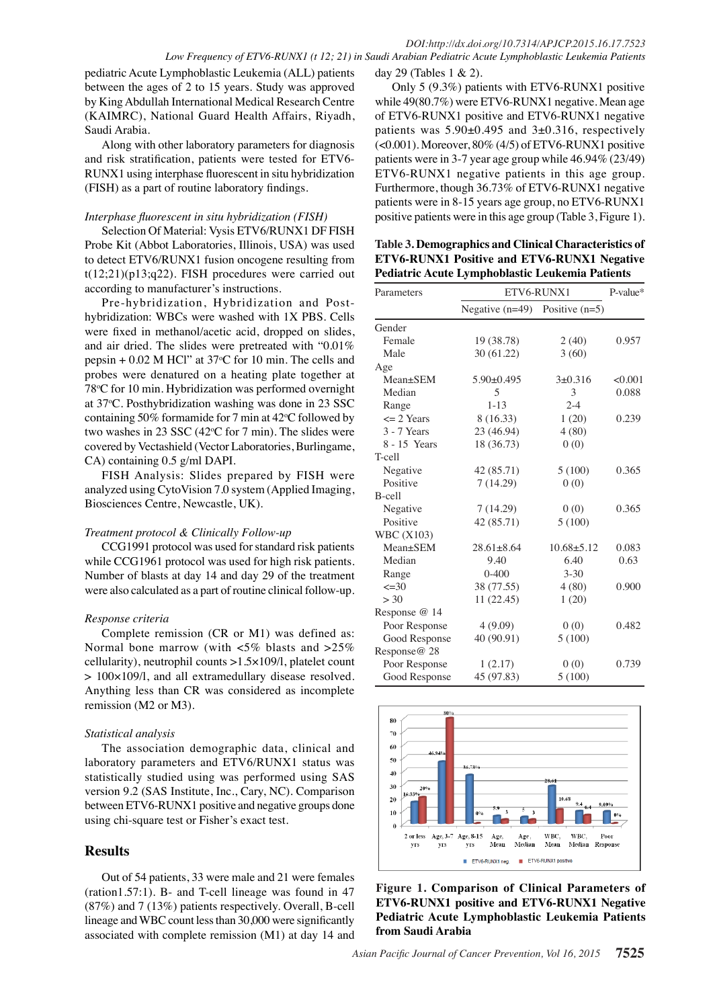pediatric Acute Lymphoblastic Leukemia (ALL) patients between the ages of 2 to 15 years. Study was approved by King Abdullah International Medical Research Centre (KAIMRC), National Guard Health Affairs, Riyadh, Saudi Arabia.

Along with other laboratory parameters for diagnosis and risk stratification, patients were tested for ETV6- RUNX1 using interphase fluorescent in situ hybridization (FISH) as a part of routine laboratory findings.

#### *Interphase fluorescent in situ hybridization (FISH)*

Selection Of Material: Vysis ETV6/RUNX1 DF FISH Probe Kit (Abbot Laboratories, Illinois, USA) was used to detect ETV6/RUNX1 fusion oncogene resulting from  $t(12;21)(p13;q22)$ . FISH procedures were carried out according to manufacturer's instructions.

Pre-hybridization, Hybridization and Posthybridization: WBCs were washed with 1X PBS. Cells were fixed in methanol/acetic acid, dropped on slides, and air dried. The slides were pretreated with "0.01% pepsin  $+0.02$  M HCl" at 37 $\degree$ C for 10 min. The cells and probes were denatured on a heating plate together at 78°C for 10 min. Hybridization was performed overnight at 37°C. Posthybridization washing was done in 23 SSC containing 50% formamide for 7 min at  $42^{\circ}$ C followed by two washes in 23 SSC  $(42^{\circ}C \text{ for } 7 \text{ min})$ . The slides were covered by Vectashield (Vector Laboratories, Burlingame, CA) containing 0.5 g/ml DAPI.

FISH Analysis: Slides prepared by FISH were analyzed using CytoVision 7.0 system (Applied Imaging, Biosciences Centre, Newcastle, UK).

#### *Treatment protocol & Clinically Follow-up*

CCG1991 protocol was used for standard risk patients while CCG1961 protocol was used for high risk patients. Number of blasts at day 14 and day 29 of the treatment were also calculated as a part of routine clinical follow-up.

#### *Response criteria*

Complete remission (CR or M1) was defined as: Normal bone marrow (with <5% blasts and >25% cellularity), neutrophil counts >1.5×109/l, platelet count > 100×109/l, and all extramedullary disease resolved. Anything less than CR was considered as incomplete remission (M2 or M3).

#### *Statistical analysis*

The association demographic data, clinical and laboratory parameters and ETV6/RUNX1 status was statistically studied using was performed using SAS version 9.2 (SAS Institute, Inc., Cary, NC). Comparison between ETV6-RUNX1 positive and negative groups done using chi-square test or Fisher's exact test.

## **Results**

Out of 54 patients, 33 were male and 21 were females (ration1.57:1). B- and T-cell lineage was found in 47 (87%) and 7 (13%) patients respectively. Overall, B-cell lineage and WBC count less than 30,000 were significantly associated with complete remission (M1) at day 14 and

day 29 (Tables 1 & 2).

Only 5 (9.3%) patients with ETV6-RUNX1 positive while 49(80.7%) were ETV6-RUNX1 negative. Mean age of ETV6-RUNX1 positive and ETV6-RUNX1 negative patients was  $5.90\pm0.495$  and  $3\pm0.316$ , respectively (<0.001). Moreover, 80% (4/5) of ETV6-RUNX1 positive patients were in 3-7 year age group while 46.94% (23/49) ETV6-RUNX1 negative patients in this age group. Furthermore, though 36.73% of ETV6-RUNX1 negative patients were in 8-15 years age group, no ETV6-RUNX1 positive patients were in this age group (Table 3, Figure 1).

**Table 3. Demographics and Clinical Characteristics of ETV6-RUNX1 Positive and ETV6-RUNX1 Negative Pediatric Acute Lymphoblastic Leukemia Patients**

| Parameters        | ETV6-RUNX1                         | P-value*       |         |
|-------------------|------------------------------------|----------------|---------|
|                   | Negative $(n=49)$ Positive $(n=5)$ |                |         |
| Gender            |                                    |                |         |
| Female            | 19 (38.78)                         | 2(40)          | 0.957   |
| Male              | 30 (61.22)                         | 3(60)          |         |
| Age               |                                    |                |         |
| Mean±SEM          | $5.90+0.495$                       | $3+0.316$      | < 0.001 |
| Median            | 5                                  | 3              | 0.088   |
| Range             | $1 - 13$                           | $2 - 4$        |         |
| $\leq$ 2 Years    | 8 (16.33)                          | 1(20)          | 0.239   |
| $3 - 7$ Years     | 23 (46.94)                         | 4(80)          |         |
| 8 - 15 Years      | 18 (36.73)                         | 0(0)           |         |
| T-cell            |                                    |                |         |
| Negative          | 42 (85.71)                         | 5(100)         | 0.365   |
| Positive          | 7(14.29)                           | 0(0)           |         |
| B-cell            |                                    |                |         |
| Negative          | 7(14.29)                           | 0(0)           | 0.365   |
| Positive          | 42 (85.71)                         | 5(100)         |         |
| <b>WBC</b> (X103) |                                    |                |         |
| Mean±SEM          | $28.61 \pm 8.64$                   | $10.68 + 5.12$ | 0.083   |
| Median            | 9.40                               | 6.40           | 0.63    |
| Range             | $0 - 400$                          | $3 - 30$       |         |
| $\leq 30$         | 38 (77.55)                         | 4(80)          | 0.900   |
| > 30              | 11(22.45)                          | 1(20)          |         |
| Response @ 14     |                                    |                |         |
| Poor Response     | 4(9.09)                            | 0(0)           | 0.482   |
| Good Response     | 40 (90.91)                         | 5(100)         |         |
| Response@ 28      |                                    |                |         |
| Poor Response     | 1(2.17)                            | 0(0)           | 0.739   |
| Good Response     | 45 (97.83)                         | 5(100)         |         |



**Figure 1. Comparison of Clinical Parameters of ETV6-RUNX1 positive and ETV6-RUNX1 Negative Pediatric Acute Lymphoblastic Leukemia Patients from Saudi Arabia**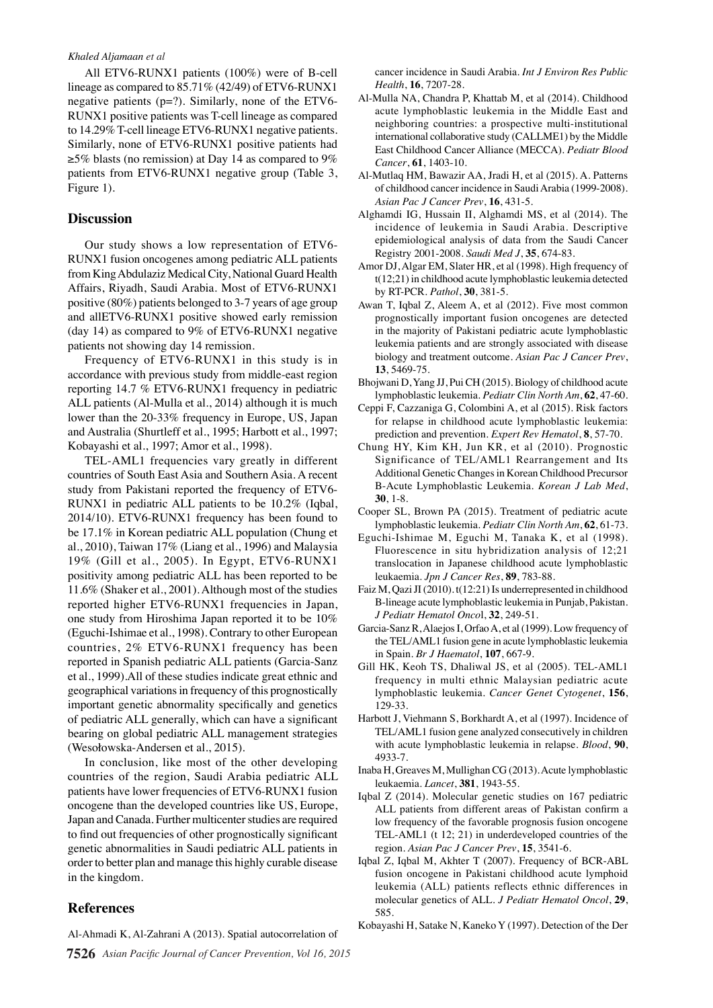#### *Khaled Aljamaan et al*

All ETV6-RUNX1 patients (100%) were of B-cell lineage as compared to 85.71% (42/49) of ETV6-RUNX1 negative patients  $(p=?)$ . Similarly, none of the ETV6-RUNX1 positive patients was T-cell lineage as compared to 14.29% T-cell lineage ETV6-RUNX1 negative patients. Similarly, none of ETV6-RUNX1 positive patients had  $\geq$ 5% blasts (no remission) at Day 14 as compared to 9% patients from ETV6-RUNX1 negative group (Table 3, Figure 1).

#### **Discussion**

Our study shows a low representation of ETV6- RUNX1 fusion oncogenes among pediatric ALL patients from King Abdulaziz Medical City, National Guard Health Affairs, Riyadh, Saudi Arabia. Most of ETV6-RUNX1 positive (80%) patients belonged to 3-7 years of age group and allETV6-RUNX1 positive showed early remission (day 14) as compared to  $9\%$  of ETV6-RUNX1 negative patients not showing day 14 remission.

Frequency of ETV6-RUNX1 in this study is in accordance with previous study from middle-east region reporting 14.7 % ETV6-RUNX1 frequency in pediatric ALL patients (Al-Mulla et al., 2014) although it is much lower than the 20-33% frequency in Europe, US, Japan and Australia (Shurtleff et al., 1995; Harbott et al., 1997; Kobayashi et al., 1997; Amor et al., 1998).

TEL-AML1 frequencies vary greatly in different countries of South East Asia and Southern Asia. A recent study from Pakistani reported the frequency of ETV6- RUNX1 in pediatric ALL patients to be 10.2% (Iqbal, 2014/10). ETV6-RUNX1 frequency has been found to be 17.1% in Korean pediatric ALL population (Chung et al., 2010), Taiwan 17% (Liang et al., 1996) and Malaysia 19% (Gill et al., 2005). In Egypt, ETV6-RUNX1 positivity among pediatric ALL has been reported to be 11.6% (Shaker et al., 2001). Although most of the studies reported higher ETV6-RUNX1 frequencies in Japan, one study from Hiroshima Japan reported it to be 10% (Eguchi-Ishimae et al., 1998). Contrary to other European countries, 2% ETV6-RUNX1 frequency has been reported in Spanish pediatric ALL patients (Garcia-Sanz et al., 1999).All of these studies indicate great ethnic and geographical variations in frequency of this prognostically important genetic abnormality specifically and genetics of pediatric ALL generally, which can have a significant bearing on global pediatric ALL management strategies (Wesołowska-Andersen et al., 2015).

In conclusion, like most of the other developing countries of the region, Saudi Arabia pediatric ALL patients have lower frequencies of ETV6-RUNX1 fusion oncogene than the developed countries like US, Europe, Japan and Canada. Further multicenter studies are required to find out frequencies of other prognostically significant genetic abnormalities in Saudi pediatric ALL patients in order to better plan and manage this highly curable disease in the kingdom.

#### **References**

**7526** *Asian Pacific Journal of Cancer Prevention, Vol 16, 2015* Al-Ahmadi K, Al-Zahrani A (2013). Spatial autocorrelation of

cancer incidence in Saudi Arabia. *Int J Environ Res Public Health*, **16**, 7207-28.

- Al-Mulla NA, Chandra P, Khattab M, et al (2014). Childhood acute lymphoblastic leukemia in the Middle East and neighboring countries: a prospective multi-institutional international collaborative study (CALLME1) by the Middle East Childhood Cancer Alliance (MECCA). *Pediatr Blood Cancer*, **61**, 1403-10.
- Al-Mutlaq HM, Bawazir AA, Jradi H, et al (2015). A. Patterns of childhood cancer incidence in Saudi Arabia (1999-2008). *Asian Pac J Cancer Prev*, **16**, 431-5.
- Alghamdi IG, Hussain II, Alghamdi MS, et al (2014). The incidence of leukemia in Saudi Arabia. Descriptive epidemiological analysis of data from the Saudi Cancer Registry 2001-2008. *Saudi Med J*, **35**, 674-83.
- Amor DJ, Algar EM, Slater HR, et al (1998). High frequency of t(12;21) in childhood acute lymphoblastic leukemia detected by RT-PCR. *Pathol*, **30**, 381-5.
- Awan T, Iqbal Z, Aleem A, et al (2012). Five most common prognostically important fusion oncogenes are detected in the majority of Pakistani pediatric acute lymphoblastic leukemia patients and are strongly associated with disease biology and treatment outcome. *Asian Pac J Cancer Prev*, **13**, 5469-75.
- Bhojwani D, Yang JJ, Pui CH (2015). Biology of childhood acute lymphoblastic leukemia. *Pediatr Clin North Am*, **62**, 47-60.
- Ceppi F, Cazzaniga G, Colombini A, et al (2015). Risk factors for relapse in childhood acute lymphoblastic leukemia: prediction and prevention. *Expert Rev Hematol*, **8**, 57-70.
- Chung HY, Kim KH, Jun KR, et al (2010). Prognostic Significance of TEL/AML1 Rearrangement and Its Additional Genetic Changes in Korean Childhood Precursor B-Acute Lymphoblastic Leukemia. *Korean J Lab Med*, **30**, 1-8.
- Cooper SL, Brown PA (2015). Treatment of pediatric acute lymphoblastic leukemia. *Pediatr Clin North Am*, **62**, 61-73.
- Eguchi-Ishimae M, Eguchi M, Tanaka K, et al (1998). Fluorescence in situ hybridization analysis of 12;21 translocation in Japanese childhood acute lymphoblastic leukaemia. *Jpn J Cancer Res*, **89**, 783-88.
- Faiz M, Qazi JI (2010). t(12:21) Is underrepresented in childhood B-lineage acute lymphoblastic leukemia in Punjab, Pakistan. *J Pediatr Hematol Onco*l, **32**, 249-51.
- Garcia-Sanz R, Alaejos I, Orfao A, et al (1999). Low frequency of the TEL/AML1 fusion gene in acute lymphoblastic leukemia in Spain. *Br J Haematol*, **107**, 667-9.
- Gill HK, Keoh TS, Dhaliwal JS, et al (2005). TEL-AML1 frequency in multi ethnic Malaysian pediatric acute lymphoblastic leukemia. *Cancer Genet Cytogenet*, **156**, 129-33.
- Harbott J, Viehmann S, Borkhardt A, et al (1997). Incidence of TEL/AML1 fusion gene analyzed consecutively in children with acute lymphoblastic leukemia in relapse. *Blood*, **90**, 4933-7.
- Inaba H, Greaves M, Mullighan CG (2013). Acute lymphoblastic leukaemia. *Lancet*, **381**, 1943-55.
- Iqbal Z (2014). Molecular genetic studies on 167 pediatric ALL patients from different areas of Pakistan confirm a low frequency of the favorable prognosis fusion oncogene TEL-AML1 (t 12; 21) in underdeveloped countries of the region. *Asian Pac J Cancer Prev*, **15**, 3541-6.
- Iqbal Z, Iqbal M, Akhter T (2007). Frequency of BCR-ABL fusion oncogene in Pakistani childhood acute lymphoid leukemia (ALL) patients reflects ethnic differences in molecular genetics of ALL. *J Pediatr Hematol Oncol*, **29**, 585.
- Kobayashi H, Satake N, Kaneko Y (1997). Detection of the Der